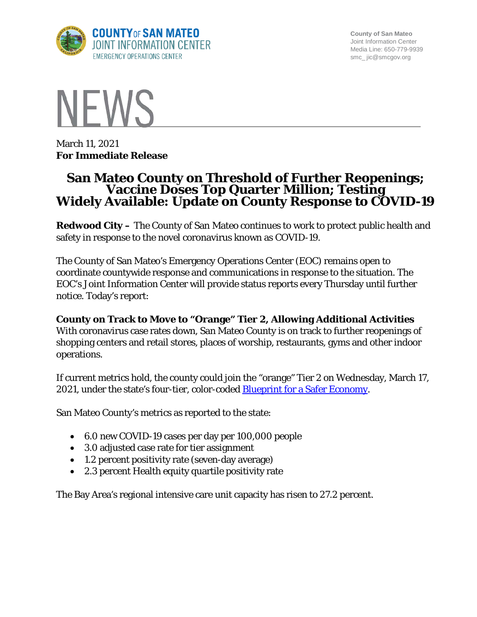

**County of San Mateo** Joint Information Center Media Line: 650-779-9939 smc\_ jic@smcgov.org



March 11, 2021 **For Immediate Release**

# **San Mateo County on Threshold of Further Reopenings; Vaccine Doses Top Quarter Million; Testing Widely Available: Update on County Response to COVID-19**

**Redwood City –** The County of San Mateo continues to work to protect public health and safety in response to the novel coronavirus known as COVID-19.

The County of San Mateo's Emergency Operations Center (EOC) remains open to coordinate countywide response and communications in response to the situation. The EOC's Joint Information Center will provide status reports every Thursday until further notice. Today's report:

**County on Track to Move to "Orange" Tier 2, Allowing Additional Activities** With coronavirus case rates down, San Mateo County is on track to further reopenings of shopping centers and retail stores, places of worship, restaurants, gyms and other indoor operations.

If current metrics hold, the county could join the "orange" Tier 2 on Wednesday, March 17, 2021, under the state's four-tier, color-coded **Blueprint for a Safer Economy**.

San Mateo County's metrics as reported to the state:

- 6.0 new COVID-19 cases per day per 100,000 people
- 3.0 adjusted case rate for tier assignment
- 1.2 percent positivity rate (seven-day average)
- 2.3 percent Health equity quartile positivity rate

The Bay Area's regional intensive care unit capacity has risen to 27.2 percent.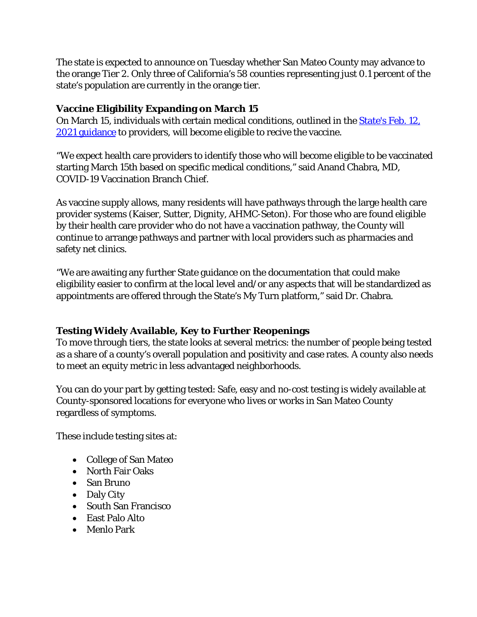The state is expected to announce on Tuesday whether San Mateo County may advance to the orange Tier 2. Only three of California's 58 counties representing just 0.1 percent of the state's population are currently in the orange tier.

## **Vaccine Eligibility Expanding on March 15**

On March 15, individuals with certain medical conditions, outlined in the [State's Feb. 12,](https://www.cdph.ca.gov/Programs/CID/DCDC/Pages/COVID-19/Provider-Bulletin-2-12-21.aspx)  2021 [guidance](https://www.cdph.ca.gov/Programs/CID/DCDC/Pages/COVID-19/Provider-Bulletin-2-12-21.aspx) to providers, will become eligible to recive the vaccine.

"We expect health care providers to identify those who will become eligible to be vaccinated starting March 15th based on specific medical conditions," said Anand Chabra, MD, COVID-19 Vaccination Branch Chief.

As vaccine supply allows, many residents will have pathways through the large health care provider systems (Kaiser, Sutter, Dignity, AHMC-Seton). For those who are found eligible by their health care provider who do not have a vaccination pathway, the County will continue to arrange pathways and partner with local providers such as pharmacies and safety net clinics.

"We are awaiting any further State guidance on the documentation that could make eligibility easier to confirm at the local level and/or any aspects that will be standardized as appointments are offered through the State's My Turn platform," said Dr. Chabra.

## **Testing Widely Available, Key to Further Reopenings**

To move through tiers, the state looks at several metrics: the number of people being tested as a share of a county's overall population and positivity and case rates. A county also needs to meet an equity metric in less advantaged neighborhoods.

You can do your part by getting tested: Safe, easy and no-cost testing is widely available at County-sponsored locations for everyone who lives or works in San Mateo County regardless of symptoms.

These include testing sites at:

- College of San Mateo
- North Fair Oaks
- San Bruno
- Daly City
- South San Francisco
- East Palo Alto
- Menlo Park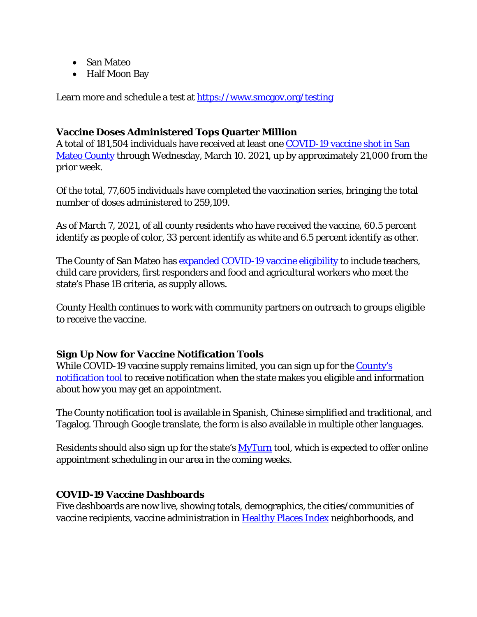- San Mateo
- Half Moon Bay

Learn more and schedule a test at<https://www.smcgov.org/testing>

#### **Vaccine Doses Administered Tops Quarter Million**

A total of 181,504 individuals have received at least one [COVID-19 vaccine shot in San](https://www.smchealth.org/data-dashboard/vaccination-totals-locations-data)  [Mateo County](https://www.smchealth.org/data-dashboard/vaccination-totals-locations-data) through Wednesday, March 10. 2021, up by approximately 21,000 from the prior week.

Of the total, 77,605 individuals have completed the vaccination series, bringing the total number of doses administered to 259,109.

As of March 7, 2021, of all county residents who have received the vaccine, 60.5 percent identify as people of color, 33 percent identify as white and 6.5 percent identify as other.

The County of San Mateo has **[expanded COVID-19 vaccine eligibility](https://www.smcgov.org/press-release/county-moves-expand-covid-19-vaccinations-eligible-essential-workers)** to include teachers, child care providers, first responders and food and agricultural workers who meet the state's Phase 1B criteria, as supply allows.

County Health continues to work with community partners on outreach to groups eligible to receive the vaccine.

## **Sign Up Now for Vaccine Notification Tools**

While COVID-19 vaccine supply remains limited, you can sign up for the County's [notification tool](http://forms.office.com/Pages/ResponsePage.aspx?id=Nfb6DU2gzEin422hrwiD-S6Nu8Fm05tAlD6PWRPnVIxUOUo0N0NUM1VDRUtVMDlBMlZBNFFBOFVNVyQlQCN0PWcu&wdLOR=c539C3515-F3DE-944B-88F3-A8F48EC76AB3) to receive notification when the state makes you eligible and information about how you may get an appointment.

The County notification tool is available in Spanish, Chinese simplified and traditional, and Tagalog. Through Google translate, the form is also available in multiple other languages.

Residents should also sign up for the state's **MyTurn** tool, which is expected to offer online appointment scheduling in our area in the coming weeks.

#### **COVID-19 Vaccine Dashboards**

Five dashboards are now live, showing totals, demographics, the cities/communities of vaccine recipients, vaccine administration in [Healthy Places Index](https://healthyplacesindex.org/) neighborhoods, and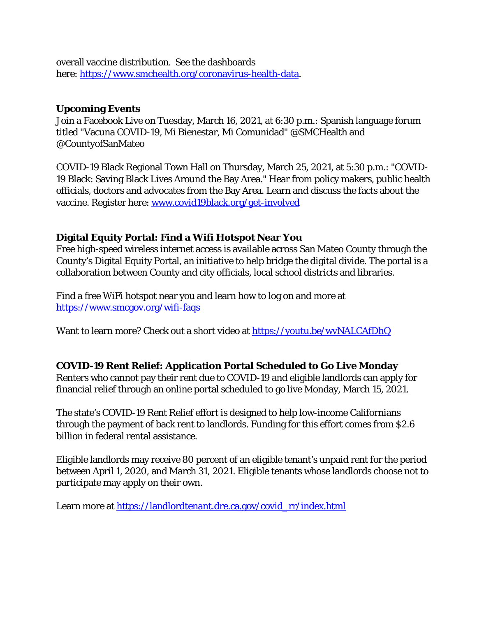overall vaccine distribution. See the dashboards here: [https://www.smchealth.org/coronavirus-health-data.](https://www.smchealth.org/coronavirus-health-data)

#### **Upcoming Events**

Join a Facebook Live on Tuesday, March 16, 2021, at 6:30 p.m.: Spanish language forum titled "Vacuna COVID-19, Mi Bienestar, Mi Comunidad" @SMCHealth and @CountyofSanMateo

COVID-19 Black Regional Town Hall on Thursday, March 25, 2021, at 5:30 p.m.: "COVID-19 Black: Saving Black Lives Around the Bay Area." Hear from policy makers, public health officials, doctors and advocates from the Bay Area. Learn and discuss the facts about the vaccine. Register here: [www.covid19black.org/get-involved](http://www.covid19black.org/get-involved)

## **Digital Equity Portal: Find a Wifi Hotspot Near You**

Free high-speed wireless internet access is available across San Mateo County through the County's Digital Equity Portal, an initiative to help bridge the digital divide. The portal is a collaboration between County and city officials, local school districts and libraries.

Find a free WiFi hotspot near you and learn how to log on and more at <https://www.smcgov.org/wifi-faqs>

Want to learn more? Check out a short video at<https://youtu.be/wvNALCAfDhQ>

## **COVID-19 Rent Relief: Application Portal Scheduled to Go Live Monday**

Renters who cannot pay their rent due to COVID-19 and eligible landlords can apply for financial relief through an online portal scheduled to go live Monday, March 15, 2021.

The state's COVID-19 Rent Relief effort is designed to help low-income Californians through the payment of back rent to landlords. Funding for this effort comes from \$2.6 billion in federal rental assistance.

Eligible landlords may receive 80 percent of an eligible tenant's unpaid rent for the period between April 1, 2020, and March 31, 2021. Eligible tenants whose landlords choose not to participate may apply on their own.

Learn more at [https://landlordtenant.dre.ca.gov/covid\\_rr/index.html](https://landlordtenant.dre.ca.gov/covid_rr/index.html)